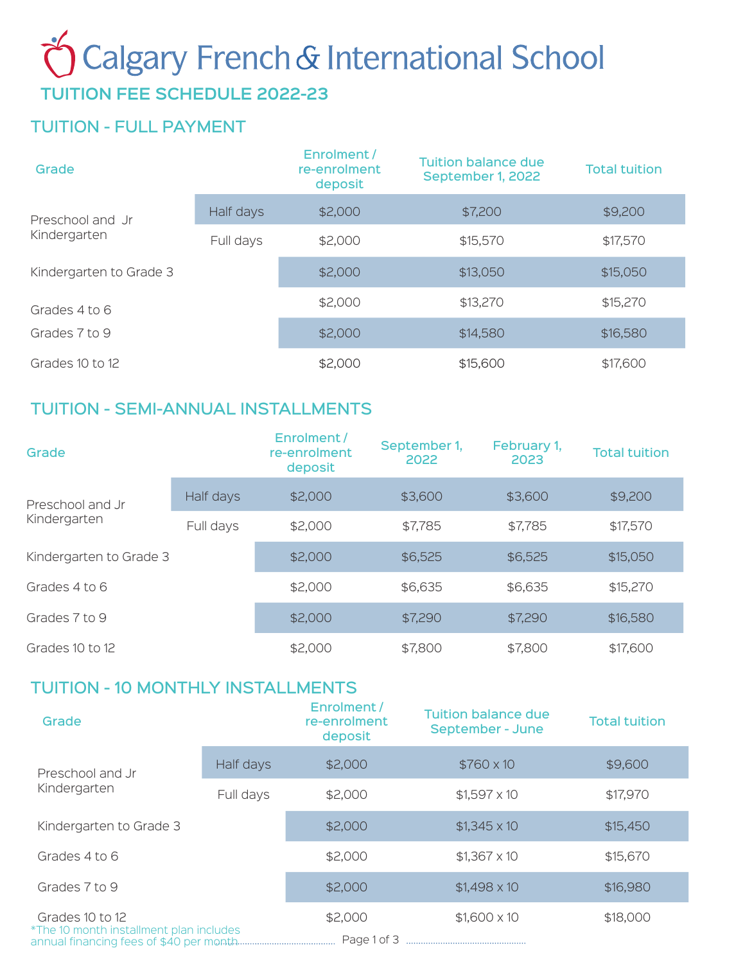# Calgary French & International School

## **TUITION FEE SCHEDULE 2022-23**

## TUITION - FULL PAYMENT

| Grade                            |           | Enrolment /<br>re-enrolment<br>deposit | <b>Tuition balance due</b><br>September 1, 2022 | <b>Total tuition</b> |
|----------------------------------|-----------|----------------------------------------|-------------------------------------------------|----------------------|
| Preschool and Jr<br>Kindergarten | Half days | \$2,000                                | \$7,200                                         | \$9,200              |
|                                  | Full days | \$2,000                                | \$15,570                                        | \$17,570             |
| Kindergarten to Grade 3          |           | \$2,000                                | \$13,050                                        | \$15,050             |
| Grades 4 to 6<br>Grades 7 to 9   |           | \$2,000                                | \$13,270                                        | \$15,270             |
|                                  |           | \$2,000                                | \$14,580                                        | \$16,580             |
| Grades 10 to 12                  |           | \$2,000                                | \$15,600                                        | \$17,600             |

### TUITION - SEMI-ANNUAL INSTALLMENTS

| Grade                                                     |           | Enrolment/<br>re-enrolment<br>deposit | September 1,<br>2022 | February 1,<br>2023 | <b>Total tuition</b> |
|-----------------------------------------------------------|-----------|---------------------------------------|----------------------|---------------------|----------------------|
| Preschool and Jr<br>Kindergarten                          | Half days | \$2,000                               | \$3,600              | \$3,600             | \$9,200              |
|                                                           | Full days | \$2,000                               | \$7,785              | \$7,785             | \$17,570             |
| Kindergarten to Grade 3<br>Grades 4 to 6<br>Grades 7 to 9 |           | \$2,000                               | \$6,525              | \$6,525             | \$15,050             |
|                                                           |           | \$2,000                               | \$6,635              | \$6,635             | \$15,270             |
|                                                           |           | \$2,000                               | \$7,290              | \$7,290             | \$16,580             |
| Grades 10 to 12                                           |           | \$2,000                               | \$7,800              | \$7,800             | \$17,600             |

### TUITION - 10 MONTHLY INSTALLMENTS

| Grade                                                      |           | Enrolment /<br>re-enrolment<br>deposit | <b>Tuition balance due</b><br>September - June | <b>Total tuition</b> |
|------------------------------------------------------------|-----------|----------------------------------------|------------------------------------------------|----------------------|
| Preschool and Jr<br>Kindergarten                           | Half days | \$2,000                                | $$760 \times 10$                               | \$9,600              |
|                                                            | Full days | \$2,000                                | $$1,597 \times 10$                             | \$17,970             |
| Kindergarten to Grade 3                                    |           | \$2,000                                | $$1,345 \times 10$                             | \$15,450             |
| Grades 4 to 6                                              |           | \$2,000                                | $$1,367 \times 10$                             | \$15,670             |
| Grades 7 to 9                                              |           | \$2,000                                | $$1,498 \times 10$                             | \$16,980             |
| Grades 10 to 12<br>*The 10 month installment plan includes |           | \$2,000                                | $$1,600 \times 10$                             | \$18,000             |
|                                                            |           |                                        |                                                |                      |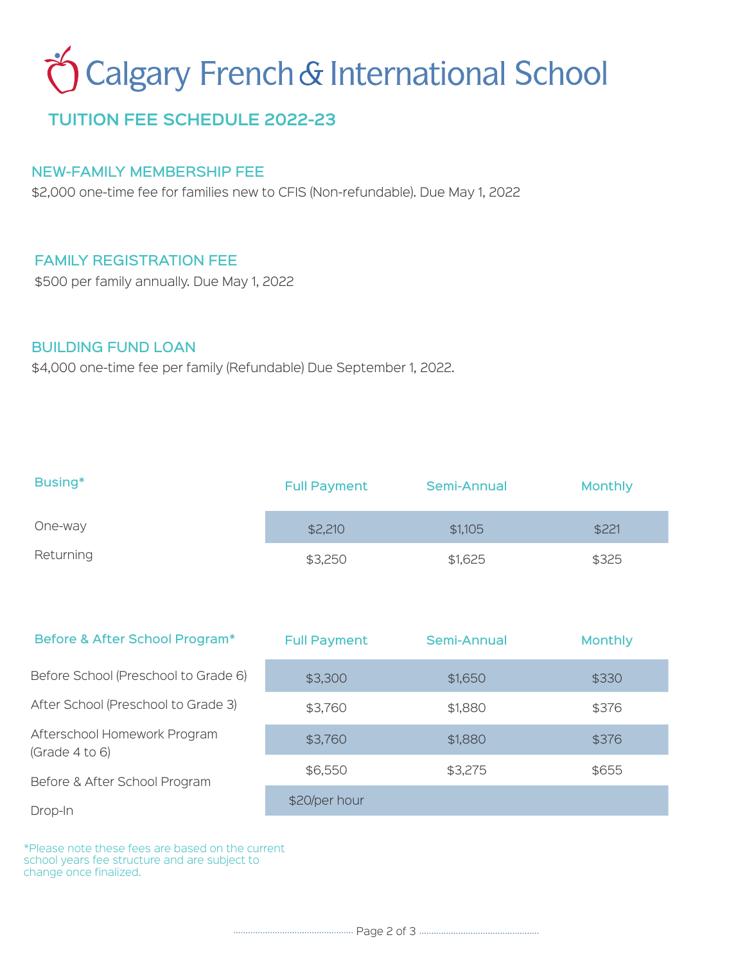## **Calgary French & International School**

## **TUITION FEE SCHEDULE 2022-23**

#### NEW-FAMILY MEMBERSHIP FEE

\$2,000 one-time fee for families new to CFIS (Non-refundable). Due May 1, 2022

#### FAMILY REGISTRATION FEE

\$500 per family annually. Due May 1, 2022

#### BUILDING FUND LOAN

\$4,000 one-time fee per family (Refundable) Due September 1, 2022.

| Busing*   | <b>Full Payment</b> | Semi-Annual | <b>Monthly</b> |
|-----------|---------------------|-------------|----------------|
| One-way   | \$2,210             | \$1,105     | \$221          |
| Returning | \$3,250             | \$1,625     | \$325          |

| <b>Full Payment</b> | Semi-Annual | <b>Monthly</b> |
|---------------------|-------------|----------------|
| \$3,300             | \$1,650     | \$330          |
| \$3,760             | \$1,880     | \$376          |
| \$3,760             | \$1,880     | \$376          |
| \$6,550             | \$3,275     | \$655          |
| \$20/per hour       |             |                |
|                     |             |                |

\*Please note these fees are based on the current school years fee structure and are subject to change once finalized.